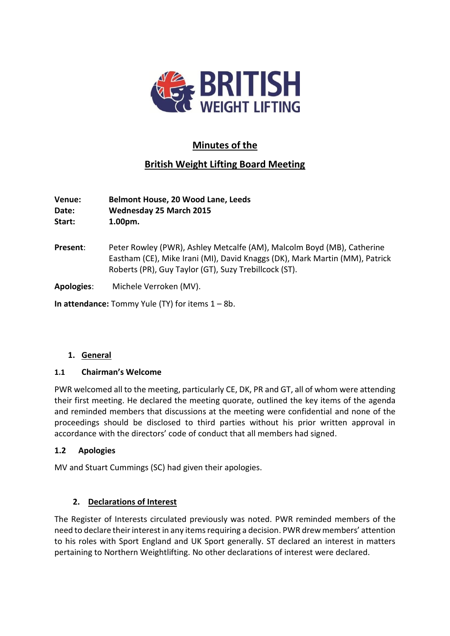

# **Minutes of the**

## **British Weight Lifting Board Meeting**

**Venue: Belmont House, 20 Wood Lane, Leeds Date: Wednesday 25 March 2015**

**Start: 1.00pm.**

**Present**: Peter Rowley (PWR), Ashley Metcalfe (AM), Malcolm Boyd (MB), Catherine Eastham (CE), Mike Irani (MI), David Knaggs (DK), Mark Martin (MM), Patrick Roberts (PR), Guy Taylor (GT), Suzy Trebillcock (ST).

**Apologies**: Michele Verroken (MV).

**In attendance:** Tommy Yule (TY) for items 1 – 8b.

## **1. General**

## **1.1 Chairman's Welcome**

PWR welcomed all to the meeting, particularly CE, DK, PR and GT, all of whom were attending their first meeting. He declared the meeting quorate, outlined the key items of the agenda and reminded members that discussions at the meeting were confidential and none of the proceedings should be disclosed to third parties without his prior written approval in accordance with the directors' code of conduct that all members had signed.

## **1.2 Apologies**

MV and Stuart Cummings (SC) had given their apologies.

## **2. Declarations of Interest**

The Register of Interests circulated previously was noted. PWR reminded members of the need to declare their interest in any items requiring a decision. PWR drew members' attention to his roles with Sport England and UK Sport generally. ST declared an interest in matters pertaining to Northern Weightlifting. No other declarations of interest were declared.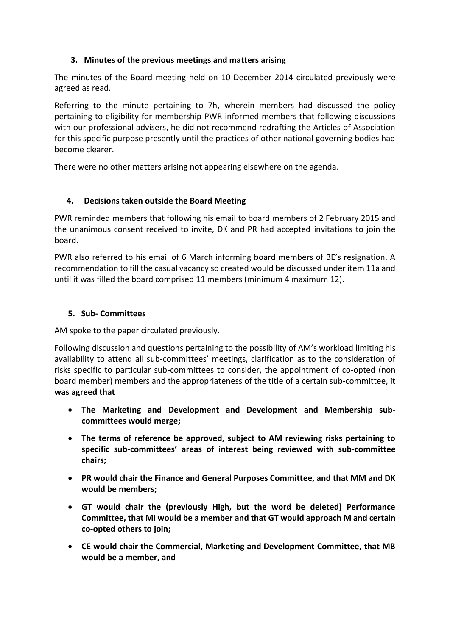## **3. Minutes of the previous meetings and matters arising**

The minutes of the Board meeting held on 10 December 2014 circulated previously were agreed as read.

Referring to the minute pertaining to 7h, wherein members had discussed the policy pertaining to eligibility for membership PWR informed members that following discussions with our professional advisers, he did not recommend redrafting the Articles of Association for this specific purpose presently until the practices of other national governing bodies had become clearer.

There were no other matters arising not appearing elsewhere on the agenda.

## **4. Decisions taken outside the Board Meeting**

PWR reminded members that following his email to board members of 2 February 2015 and the unanimous consent received to invite, DK and PR had accepted invitations to join the board.

PWR also referred to his email of 6 March informing board members of BE's resignation. A recommendation to fill the casual vacancy so created would be discussed under item 11a and until it was filled the board comprised 11 members (minimum 4 maximum 12).

## **5. Sub- Committees**

AM spoke to the paper circulated previously.

Following discussion and questions pertaining to the possibility of AM's workload limiting his availability to attend all sub-committees' meetings, clarification as to the consideration of risks specific to particular sub-committees to consider, the appointment of co-opted (non board member) members and the appropriateness of the title of a certain sub-committee, **it was agreed that**

- **The Marketing and Development and Development and Membership subcommittees would merge;**
- **The terms of reference be approved, subject to AM reviewing risks pertaining to specific sub-committees' areas of interest being reviewed with sub-committee chairs;**
- **PR would chair the Finance and General Purposes Committee, and that MM and DK would be members;**
- **GT would chair the (previously High, but the word be deleted) Performance Committee, that MI would be a member and that GT would approach M and certain co-opted others to join;**
- **CE would chair the Commercial, Marketing and Development Committee, that MB would be a member, and**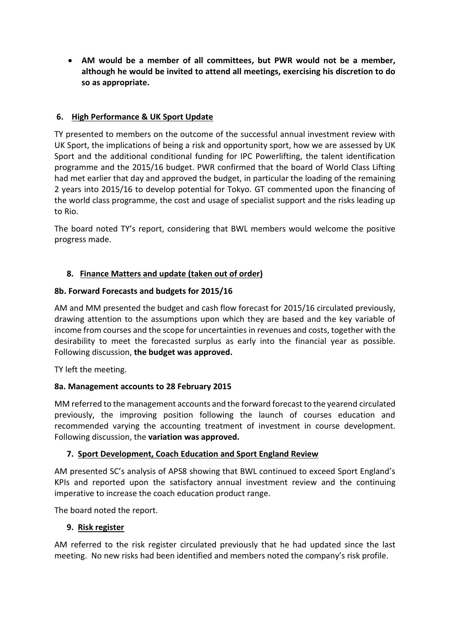**AM would be a member of all committees, but PWR would not be a member, although he would be invited to attend all meetings, exercising his discretion to do so as appropriate.**

## **6. High Performance & UK Sport Update**

TY presented to members on the outcome of the successful annual investment review with UK Sport, the implications of being a risk and opportunity sport, how we are assessed by UK Sport and the additional conditional funding for IPC Powerlifting, the talent identification programme and the 2015/16 budget. PWR confirmed that the board of World Class Lifting had met earlier that day and approved the budget, in particular the loading of the remaining 2 years into 2015/16 to develop potential for Tokyo. GT commented upon the financing of the world class programme, the cost and usage of specialist support and the risks leading up to Rio.

The board noted TY's report, considering that BWL members would welcome the positive progress made.

## **8. Finance Matters and update (taken out of order)**

#### **8b. Forward Forecasts and budgets for 2015/16**

AM and MM presented the budget and cash flow forecast for 2015/16 circulated previously, drawing attention to the assumptions upon which they are based and the key variable of income from courses and the scope for uncertainties in revenues and costs, together with the desirability to meet the forecasted surplus as early into the financial year as possible. Following discussion, **the budget was approved.**

TY left the meeting.

#### **8a. Management accounts to 28 February 2015**

MM referred to the management accounts and the forward forecast to the yearend circulated previously, the improving position following the launch of courses education and recommended varying the accounting treatment of investment in course development. Following discussion, the **variation was approved.**

## **7. Sport Development, Coach Education and Sport England Review**

AM presented SC's analysis of APS8 showing that BWL continued to exceed Sport England's KPIs and reported upon the satisfactory annual investment review and the continuing imperative to increase the coach education product range.

The board noted the report.

#### **9. Risk register**

AM referred to the risk register circulated previously that he had updated since the last meeting. No new risks had been identified and members noted the company's risk profile.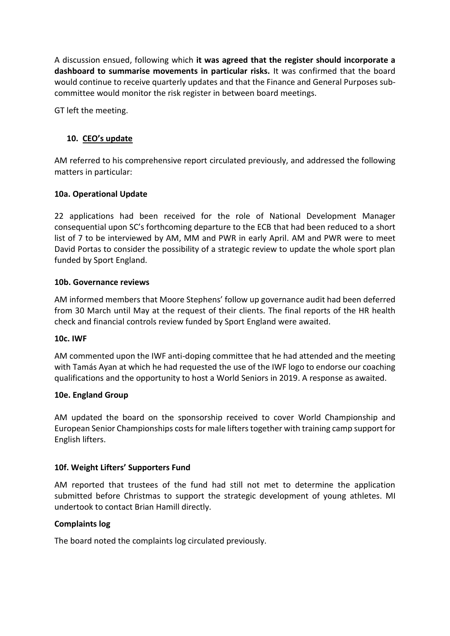A discussion ensued, following which **it was agreed that the register should incorporate a dashboard to summarise movements in particular risks.** It was confirmed that the board would continue to receive quarterly updates and that the Finance and General Purposes subcommittee would monitor the risk register in between board meetings.

GT left the meeting.

## **10. CEO's update**

AM referred to his comprehensive report circulated previously, and addressed the following matters in particular:

#### **10a. Operational Update**

22 applications had been received for the role of National Development Manager consequential upon SC's forthcoming departure to the ECB that had been reduced to a short list of 7 to be interviewed by AM, MM and PWR in early April. AM and PWR were to meet David Portas to consider the possibility of a strategic review to update the whole sport plan funded by Sport England.

#### **10b. Governance reviews**

AM informed members that Moore Stephens' follow up governance audit had been deferred from 30 March until May at the request of their clients. The final reports of the HR health check and financial controls review funded by Sport England were awaited.

#### **10c. IWF**

AM commented upon the IWF anti-doping committee that he had attended and the meeting with Tamás Ayan at which he had requested the use of the IWF logo to endorse our coaching qualifications and the opportunity to host a World Seniors in 2019. A response as awaited.

#### **10e. England Group**

AM updated the board on the sponsorship received to cover World Championship and European Senior Championships costs for male lifters together with training camp support for English lifters.

#### **10f. Weight Lifters' Supporters Fund**

AM reported that trustees of the fund had still not met to determine the application submitted before Christmas to support the strategic development of young athletes. MI undertook to contact Brian Hamill directly.

#### **Complaints log**

The board noted the complaints log circulated previously.